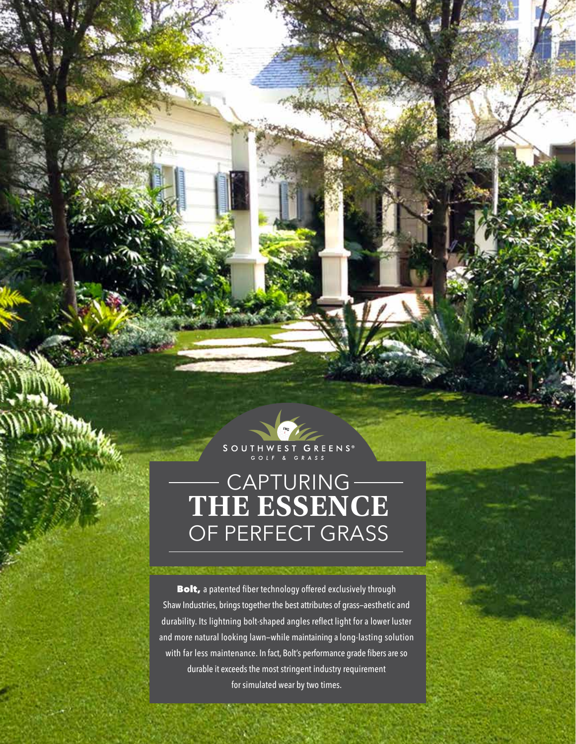

## CAPTURING **THE ESSENCE**  OF PERFECT GRASS

Bolt, a patented fiber technology offered exclusively through Shaw Industries, brings together the best attributes of grass—aesthetic and durability. Its lightning bolt-shaped angles reflect light for a lower luster and more natural looking lawn—while maintaining a long-lasting solution with far less maintenance. In fact, Bolt's performance grade fibers are so durable it exceeds the most stringent industry requirement for simulated wear by two times.